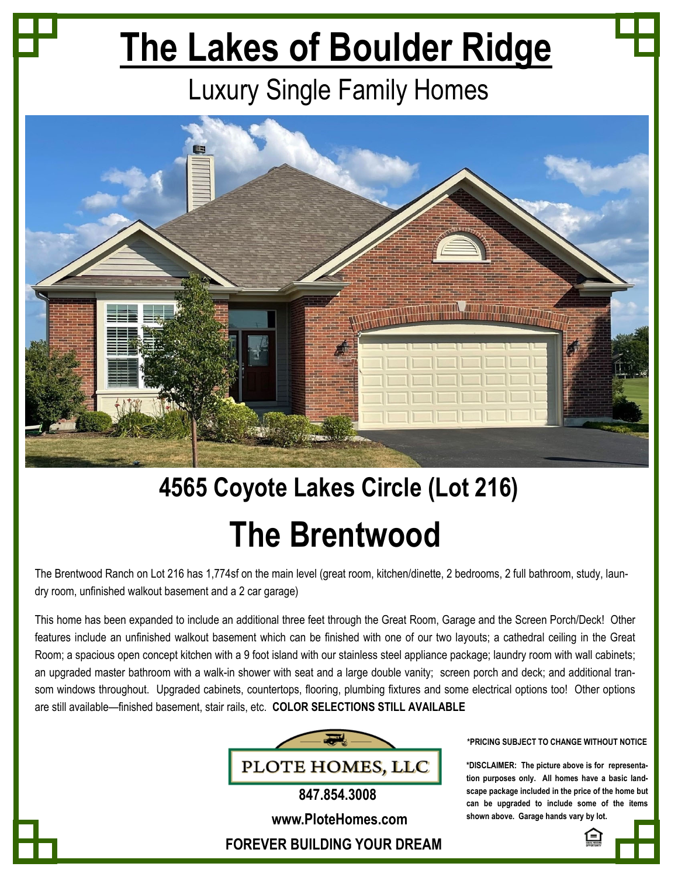# **The Lakes of Boulder Ridge**

### Luxury Single Family Homes



## **4565 Coyote Lakes Circle (Lot 216) The Brentwood**

The Brentwood Ranch on Lot 216 has 1,774sf on the main level (great room, kitchen/dinette, 2 bedrooms, 2 full bathroom, study, laundry room, unfinished walkout basement and a 2 car garage)

This home has been expanded to include an additional three feet through the Great Room, Garage and the Screen Porch/Deck! Other features include an unfinished walkout basement which can be finished with one of our two layouts; a cathedral ceiling in the Great Room; a spacious open concept kitchen with a 9 foot island with our stainless steel appliance package; laundry room with wall cabinets; an upgraded master bathroom with a walk-in shower with seat and a large double vanity; screen porch and deck; and additional transom windows throughout. Upgraded cabinets, countertops, flooring, plumbing fixtures and some electrical options too! Other options are still available—finished basement, stair rails, etc. **COLOR SELECTIONS STILL AVAILABLE**



**\*PRICING SUBJECT TO CHANGE WITHOUT NOTICE** 

**\*DISCLAIMER: The picture above is for representation purposes only. All homes have a basic landscape package included in the price of the home but can be upgraded to include some of the items shown above. Garage hands vary by lot.**

**www.PloteHomes.com**

**FOREVER BUILDING YOUR DREAM**